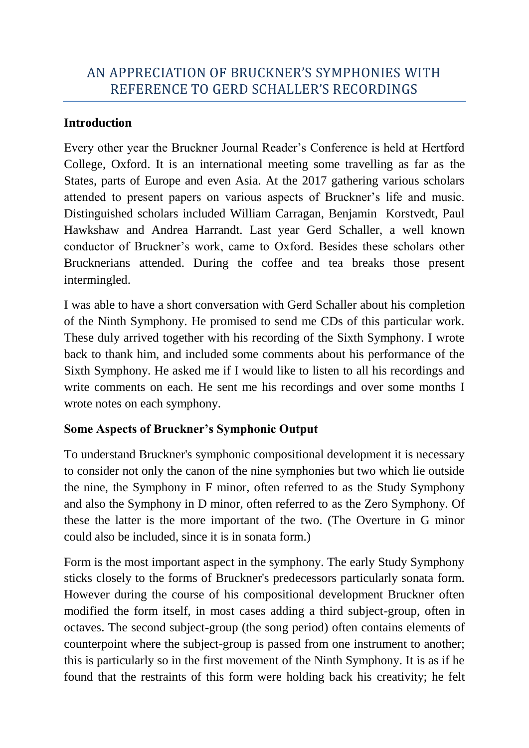## **Introduction**

Every other year the Bruckner Journal Reader's Conference is held at Hertford College, Oxford. It is an international meeting some travelling as far as the States, parts of Europe and even Asia. At the 2017 gathering various scholars attended to present papers on various aspects of Bruckner's life and music. Distinguished scholars included William Carragan, Benjamin Korstvedt, Paul Hawkshaw and Andrea Harrandt. Last year Gerd Schaller, a well known conductor of Bruckner's work, came to Oxford. Besides these scholars other Brucknerians attended. During the coffee and tea breaks those present intermingled.

I was able to have a short conversation with Gerd Schaller about his completion of the Ninth Symphony. He promised to send me CDs of this particular work. These duly arrived together with his recording of the Sixth Symphony. I wrote back to thank him, and included some comments about his performance of the Sixth Symphony. He asked me if I would like to listen to all his recordings and write comments on each. He sent me his recordings and over some months I wrote notes on each symphony.

## **Some Aspects of Bruckner's Symphonic Output**

To understand Bruckner's symphonic compositional development it is necessary to consider not only the canon of the nine symphonies but two which lie outside the nine, the Symphony in F minor, often referred to as the Study Symphony and also the Symphony in D minor, often referred to as the Zero Symphony. Of these the latter is the more important of the two. (The Overture in G minor could also be included, since it is in sonata form.)

Form is the most important aspect in the symphony. The early Study Symphony sticks closely to the forms of Bruckner's predecessors particularly sonata form. However during the course of his compositional development Bruckner often modified the form itself, in most cases adding a third subject-group, often in octaves. The second subject-group (the song period) often contains elements of counterpoint where the subject-group is passed from one instrument to another; this is particularly so in the first movement of the Ninth Symphony. It is as if he found that the restraints of this form were holding back his creativity; he felt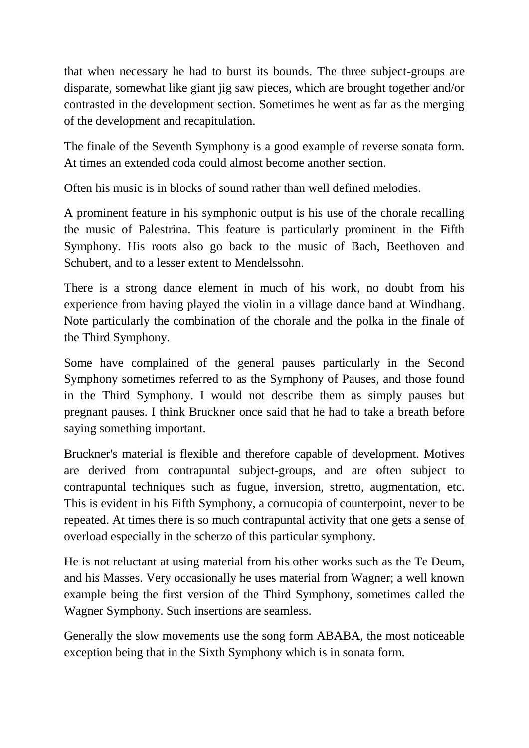that when necessary he had to burst its bounds. The three subject-groups are disparate, somewhat like giant jig saw pieces, which are brought together and/or contrasted in the development section. Sometimes he went as far as the merging of the development and recapitulation.

The finale of the Seventh Symphony is a good example of reverse sonata form. At times an extended coda could almost become another section.

Often his music is in blocks of sound rather than well defined melodies.

A prominent feature in his symphonic output is his use of the chorale recalling the music of Palestrina. This feature is particularly prominent in the Fifth Symphony. His roots also go back to the music of Bach, Beethoven and Schubert, and to a lesser extent to Mendelssohn.

There is a strong dance element in much of his work, no doubt from his experience from having played the violin in a village dance band at Windhang. Note particularly the combination of the chorale and the polka in the finale of the Third Symphony.

Some have complained of the general pauses particularly in the Second Symphony sometimes referred to as the Symphony of Pauses, and those found in the Third Symphony. I would not describe them as simply pauses but pregnant pauses. I think Bruckner once said that he had to take a breath before saying something important.

Bruckner's material is flexible and therefore capable of development. Motives are derived from contrapuntal subject-groups, and are often subject to contrapuntal techniques such as fugue, inversion, stretto, augmentation, etc. This is evident in his Fifth Symphony, a cornucopia of counterpoint, never to be repeated. At times there is so much contrapuntal activity that one gets a sense of overload especially in the scherzo of this particular symphony.

He is not reluctant at using material from his other works such as the Te Deum, and his Masses. Very occasionally he uses material from Wagner; a well known example being the first version of the Third Symphony, sometimes called the Wagner Symphony. Such insertions are seamless.

Generally the slow movements use the song form ABABA, the most noticeable exception being that in the Sixth Symphony which is in sonata form.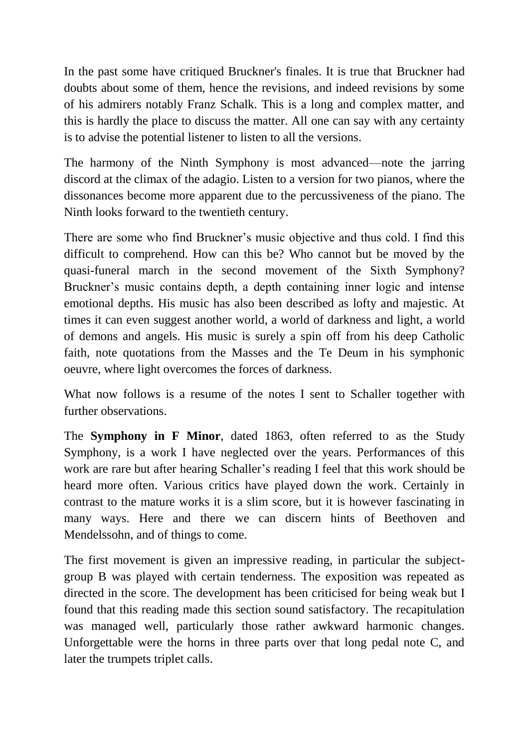In the past some have critiqued Bruckner's finales. It is true that Bruckner had doubts about some of them, hence the revisions, and indeed revisions by some of his admirers notably Franz Schalk. This is a long and complex matter, and this is hardly the place to discuss the matter. All one can say with any certainty is to advise the potential listener to listen to all the versions.

The harmony of the Ninth Symphony is most advanced—note the jarring discord at the climax of the adagio. Listen to a version for two pianos, where the dissonances become more apparent due to the percussiveness of the piano. The Ninth looks forward to the twentieth century.

There are some who find Bruckner's music objective and thus cold. I find this difficult to comprehend. How can this be? Who cannot but be moved by the quasi-funeral march in the second movement of the Sixth Symphony? Bruckner's music contains depth, a depth containing inner logic and intense emotional depths. His music has also been described as lofty and majestic. At times it can even suggest another world, a world of darkness and light, a world of demons and angels. His music is surely a spin off from his deep Catholic faith, note quotations from the Masses and the Te Deum in his symphonic oeuvre, where light overcomes the forces of darkness.

What now follows is a resume of the notes I sent to Schaller together with further observations.

The **Symphony in F Minor**, dated 1863, often referred to as the Study Symphony, is a work I have neglected over the years. Performances of this work are rare but after hearing Schaller's reading I feel that this work should be heard more often. Various critics have played down the work. Certainly in contrast to the mature works it is a slim score, but it is however fascinating in many ways. Here and there we can discern hints of Beethoven and Mendelssohn, and of things to come.

The first movement is given an impressive reading, in particular the subjectgroup B was played with certain tenderness. The exposition was repeated as directed in the score. The development has been criticised for being weak but I found that this reading made this section sound satisfactory. The recapitulation was managed well, particularly those rather awkward harmonic changes. Unforgettable were the horns in three parts over that long pedal note C, and later the trumpets triplet calls.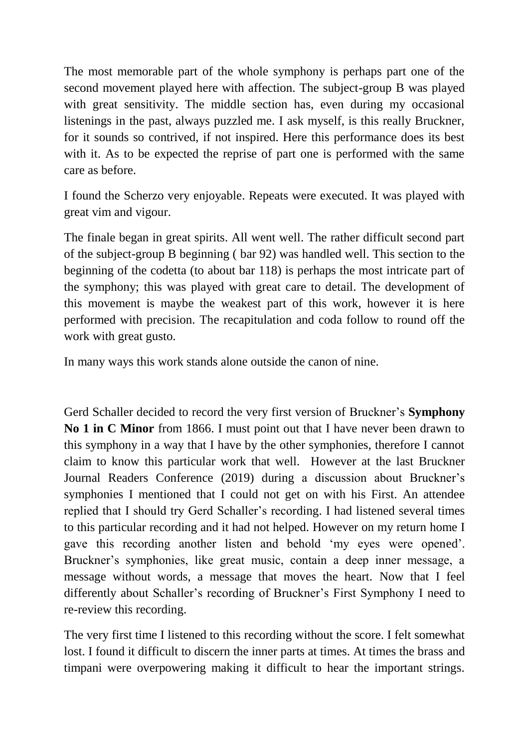The most memorable part of the whole symphony is perhaps part one of the second movement played here with affection. The subject-group B was played with great sensitivity. The middle section has, even during my occasional listenings in the past, always puzzled me. I ask myself, is this really Bruckner, for it sounds so contrived, if not inspired. Here this performance does its best with it. As to be expected the reprise of part one is performed with the same care as before.

I found the Scherzo very enjoyable. Repeats were executed. It was played with great vim and vigour.

The finale began in great spirits. All went well. The rather difficult second part of the subject-group B beginning ( bar 92) was handled well. This section to the beginning of the codetta (to about bar 118) is perhaps the most intricate part of the symphony; this was played with great care to detail. The development of this movement is maybe the weakest part of this work, however it is here performed with precision. The recapitulation and coda follow to round off the work with great gusto.

In many ways this work stands alone outside the canon of nine.

Gerd Schaller decided to record the very first version of Bruckner's **Symphony No 1 in C Minor** from 1866. I must point out that I have never been drawn to this symphony in a way that I have by the other symphonies, therefore I cannot claim to know this particular work that well. However at the last Bruckner Journal Readers Conference (2019) during a discussion about Bruckner's symphonies I mentioned that I could not get on with his First. An attendee replied that I should try Gerd Schaller's recording. I had listened several times to this particular recording and it had not helped. However on my return home I gave this recording another listen and behold 'my eyes were opened'. Bruckner's symphonies, like great music, contain a deep inner message, a message without words, a message that moves the heart. Now that I feel differently about Schaller's recording of Bruckner's First Symphony I need to re-review this recording.

The very first time I listened to this recording without the score. I felt somewhat lost. I found it difficult to discern the inner parts at times. At times the brass and timpani were overpowering making it difficult to hear the important strings.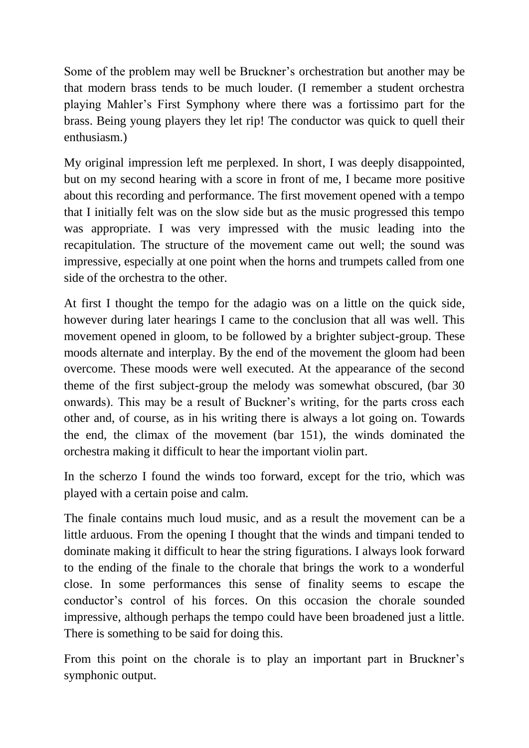Some of the problem may well be Bruckner's orchestration but another may be that modern brass tends to be much louder. (I remember a student orchestra playing Mahler's First Symphony where there was a fortissimo part for the brass. Being young players they let rip! The conductor was quick to quell their enthusiasm.)

My original impression left me perplexed. In short, I was deeply disappointed, but on my second hearing with a score in front of me, I became more positive about this recording and performance. The first movement opened with a tempo that I initially felt was on the slow side but as the music progressed this tempo was appropriate. I was very impressed with the music leading into the recapitulation. The structure of the movement came out well; the sound was impressive, especially at one point when the horns and trumpets called from one side of the orchestra to the other.

At first I thought the tempo for the adagio was on a little on the quick side, however during later hearings I came to the conclusion that all was well. This movement opened in gloom, to be followed by a brighter subject-group. These moods alternate and interplay. By the end of the movement the gloom had been overcome. These moods were well executed. At the appearance of the second theme of the first subject-group the melody was somewhat obscured, (bar 30 onwards). This may be a result of Buckner's writing, for the parts cross each other and, of course, as in his writing there is always a lot going on. Towards the end, the climax of the movement (bar 151), the winds dominated the orchestra making it difficult to hear the important violin part.

In the scherzo I found the winds too forward, except for the trio, which was played with a certain poise and calm.

The finale contains much loud music, and as a result the movement can be a little arduous. From the opening I thought that the winds and timpani tended to dominate making it difficult to hear the string figurations. I always look forward to the ending of the finale to the chorale that brings the work to a wonderful close. In some performances this sense of finality seems to escape the conductor's control of his forces. On this occasion the chorale sounded impressive, although perhaps the tempo could have been broadened just a little. There is something to be said for doing this.

From this point on the chorale is to play an important part in Bruckner's symphonic output.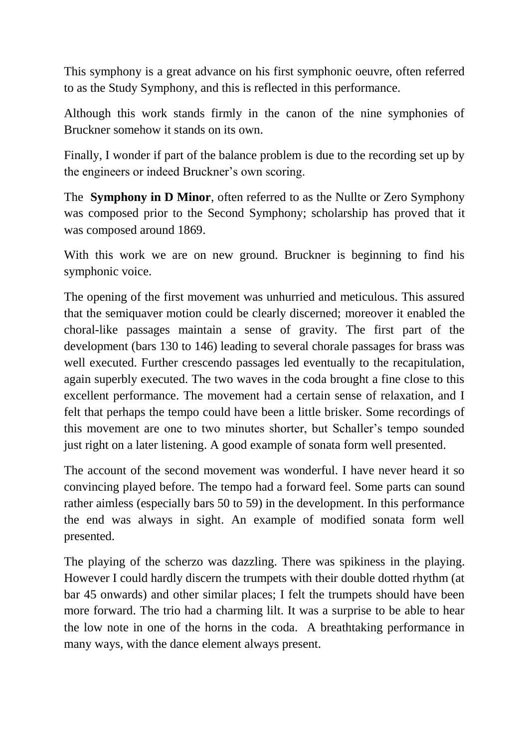This symphony is a great advance on his first symphonic oeuvre, often referred to as the Study Symphony, and this is reflected in this performance.

Although this work stands firmly in the canon of the nine symphonies of Bruckner somehow it stands on its own.

Finally, I wonder if part of the balance problem is due to the recording set up by the engineers or indeed Bruckner's own scoring.

The **Symphony in D Minor**, often referred to as the Nullte or Zero Symphony was composed prior to the Second Symphony; scholarship has proved that it was composed around 1869.

With this work we are on new ground. Bruckner is beginning to find his symphonic voice.

The opening of the first movement was unhurried and meticulous. This assured that the semiquaver motion could be clearly discerned; moreover it enabled the choral-like passages maintain a sense of gravity. The first part of the development (bars 130 to 146) leading to several chorale passages for brass was well executed. Further crescendo passages led eventually to the recapitulation, again superbly executed. The two waves in the coda brought a fine close to this excellent performance. The movement had a certain sense of relaxation, and I felt that perhaps the tempo could have been a little brisker. Some recordings of this movement are one to two minutes shorter, but Schaller's tempo sounded just right on a later listening. A good example of sonata form well presented.

The account of the second movement was wonderful. I have never heard it so convincing played before. The tempo had a forward feel. Some parts can sound rather aimless (especially bars 50 to 59) in the development. In this performance the end was always in sight. An example of modified sonata form well presented.

The playing of the scherzo was dazzling. There was spikiness in the playing. However I could hardly discern the trumpets with their double dotted rhythm (at bar 45 onwards) and other similar places; I felt the trumpets should have been more forward. The trio had a charming lilt. It was a surprise to be able to hear the low note in one of the horns in the coda. A breathtaking performance in many ways, with the dance element always present.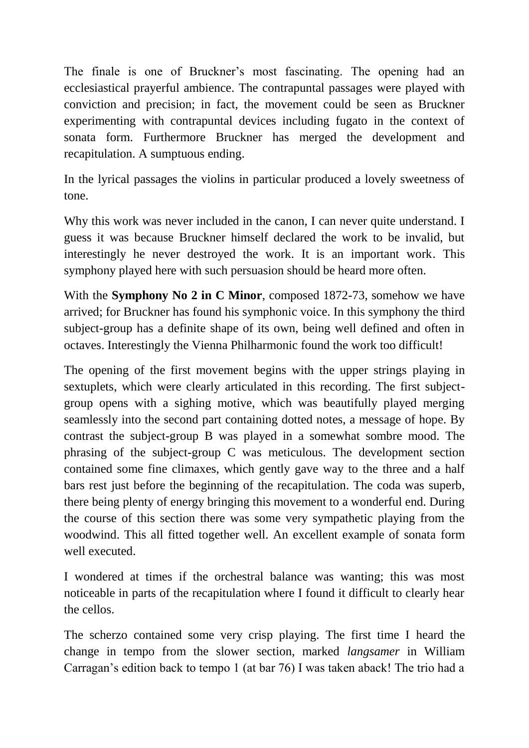The finale is one of Bruckner's most fascinating. The opening had an ecclesiastical prayerful ambience. The contrapuntal passages were played with conviction and precision; in fact, the movement could be seen as Bruckner experimenting with contrapuntal devices including fugato in the context of sonata form. Furthermore Bruckner has merged the development and recapitulation. A sumptuous ending.

In the lyrical passages the violins in particular produced a lovely sweetness of tone.

Why this work was never included in the canon, I can never quite understand. I guess it was because Bruckner himself declared the work to be invalid, but interestingly he never destroyed the work. It is an important work. This symphony played here with such persuasion should be heard more often.

With the **Symphony No 2 in C Minor**, composed 1872-73, somehow we have arrived; for Bruckner has found his symphonic voice. In this symphony the third subject-group has a definite shape of its own, being well defined and often in octaves. Interestingly the Vienna Philharmonic found the work too difficult!

The opening of the first movement begins with the upper strings playing in sextuplets, which were clearly articulated in this recording. The first subjectgroup opens with a sighing motive, which was beautifully played merging seamlessly into the second part containing dotted notes, a message of hope. By contrast the subject-group B was played in a somewhat sombre mood. The phrasing of the subject-group C was meticulous. The development section contained some fine climaxes, which gently gave way to the three and a half bars rest just before the beginning of the recapitulation. The coda was superb, there being plenty of energy bringing this movement to a wonderful end. During the course of this section there was some very sympathetic playing from the woodwind. This all fitted together well. An excellent example of sonata form well executed.

I wondered at times if the orchestral balance was wanting; this was most noticeable in parts of the recapitulation where I found it difficult to clearly hear the cellos.

The scherzo contained some very crisp playing. The first time I heard the change in tempo from the slower section, marked *langsamer* in William Carragan's edition back to tempo 1 (at bar 76) I was taken aback! The trio had a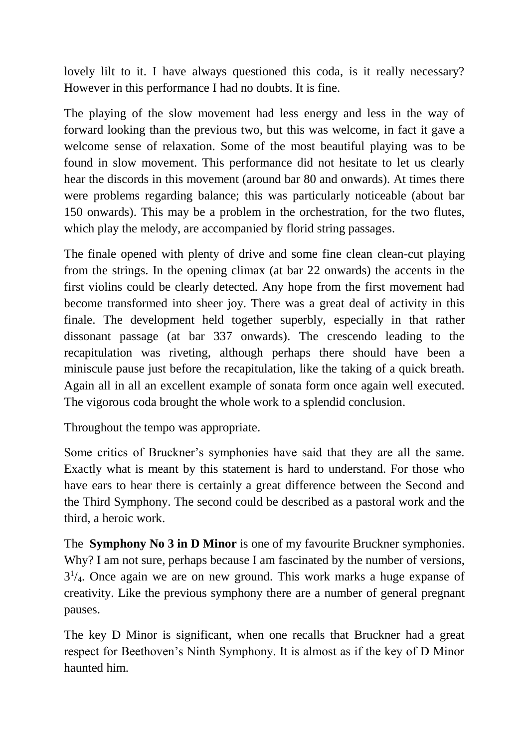lovely lilt to it. I have always questioned this coda, is it really necessary? However in this performance I had no doubts. It is fine.

The playing of the slow movement had less energy and less in the way of forward looking than the previous two, but this was welcome, in fact it gave a welcome sense of relaxation. Some of the most beautiful playing was to be found in slow movement. This performance did not hesitate to let us clearly hear the discords in this movement (around bar 80 and onwards). At times there were problems regarding balance; this was particularly noticeable (about bar 150 onwards). This may be a problem in the orchestration, for the two flutes, which play the melody, are accompanied by florid string passages.

The finale opened with plenty of drive and some fine clean clean-cut playing from the strings. In the opening climax (at bar 22 onwards) the accents in the first violins could be clearly detected. Any hope from the first movement had become transformed into sheer joy. There was a great deal of activity in this finale. The development held together superbly, especially in that rather dissonant passage (at bar 337 onwards). The crescendo leading to the recapitulation was riveting, although perhaps there should have been a miniscule pause just before the recapitulation, like the taking of a quick breath. Again all in all an excellent example of sonata form once again well executed. The vigorous coda brought the whole work to a splendid conclusion.

Throughout the tempo was appropriate.

Some critics of Bruckner's symphonies have said that they are all the same. Exactly what is meant by this statement is hard to understand. For those who have ears to hear there is certainly a great difference between the Second and the Third Symphony. The second could be described as a pastoral work and the third, a heroic work.

The **Symphony No 3 in D Minor** is one of my favourite Bruckner symphonies. Why? I am not sure, perhaps because I am fascinated by the number of versions,  $3<sup>1</sup>/4$ . Once again we are on new ground. This work marks a huge expanse of creativity. Like the previous symphony there are a number of general pregnant pauses.

The key D Minor is significant, when one recalls that Bruckner had a great respect for Beethoven's Ninth Symphony. It is almost as if the key of D Minor haunted him.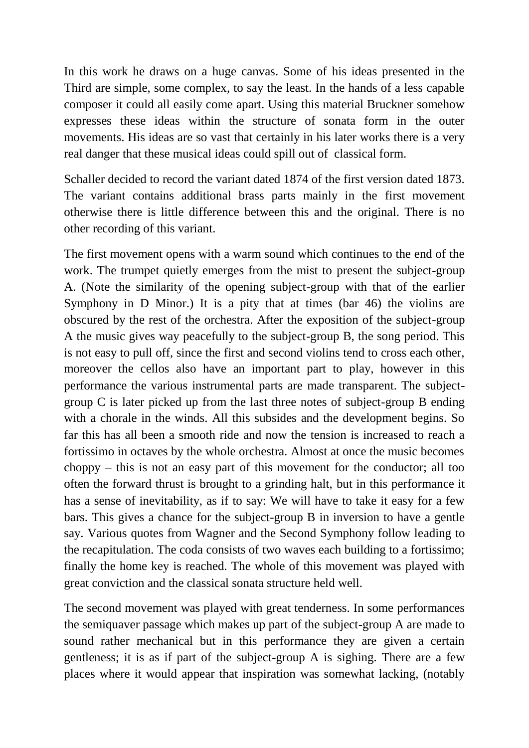In this work he draws on a huge canvas. Some of his ideas presented in the Third are simple, some complex, to say the least. In the hands of a less capable composer it could all easily come apart. Using this material Bruckner somehow expresses these ideas within the structure of sonata form in the outer movements. His ideas are so vast that certainly in his later works there is a very real danger that these musical ideas could spill out of classical form.

Schaller decided to record the variant dated 1874 of the first version dated 1873. The variant contains additional brass parts mainly in the first movement otherwise there is little difference between this and the original. There is no other recording of this variant.

The first movement opens with a warm sound which continues to the end of the work. The trumpet quietly emerges from the mist to present the subject-group A. (Note the similarity of the opening subject-group with that of the earlier Symphony in D Minor.) It is a pity that at times (bar 46) the violins are obscured by the rest of the orchestra. After the exposition of the subject-group A the music gives way peacefully to the subject-group B, the song period. This is not easy to pull off, since the first and second violins tend to cross each other, moreover the cellos also have an important part to play, however in this performance the various instrumental parts are made transparent. The subjectgroup C is later picked up from the last three notes of subject-group B ending with a chorale in the winds. All this subsides and the development begins. So far this has all been a smooth ride and now the tension is increased to reach a fortissimo in octaves by the whole orchestra. Almost at once the music becomes choppy – this is not an easy part of this movement for the conductor; all too often the forward thrust is brought to a grinding halt, but in this performance it has a sense of inevitability, as if to say: We will have to take it easy for a few bars. This gives a chance for the subject-group B in inversion to have a gentle say. Various quotes from Wagner and the Second Symphony follow leading to the recapitulation. The coda consists of two waves each building to a fortissimo; finally the home key is reached. The whole of this movement was played with great conviction and the classical sonata structure held well.

The second movement was played with great tenderness. In some performances the semiquaver passage which makes up part of the subject-group A are made to sound rather mechanical but in this performance they are given a certain gentleness; it is as if part of the subject-group A is sighing. There are a few places where it would appear that inspiration was somewhat lacking, (notably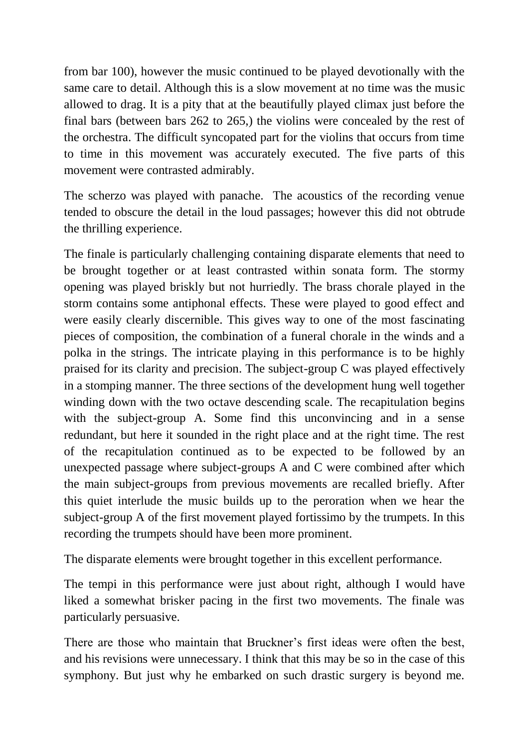from bar 100), however the music continued to be played devotionally with the same care to detail. Although this is a slow movement at no time was the music allowed to drag. It is a pity that at the beautifully played climax just before the final bars (between bars 262 to 265,) the violins were concealed by the rest of the orchestra. The difficult syncopated part for the violins that occurs from time to time in this movement was accurately executed. The five parts of this movement were contrasted admirably.

The scherzo was played with panache. The acoustics of the recording venue tended to obscure the detail in the loud passages; however this did not obtrude the thrilling experience.

The finale is particularly challenging containing disparate elements that need to be brought together or at least contrasted within sonata form. The stormy opening was played briskly but not hurriedly. The brass chorale played in the storm contains some antiphonal effects. These were played to good effect and were easily clearly discernible. This gives way to one of the most fascinating pieces of composition, the combination of a funeral chorale in the winds and a polka in the strings. The intricate playing in this performance is to be highly praised for its clarity and precision. The subject-group C was played effectively in a stomping manner. The three sections of the development hung well together winding down with the two octave descending scale. The recapitulation begins with the subject-group A. Some find this unconvincing and in a sense redundant, but here it sounded in the right place and at the right time. The rest of the recapitulation continued as to be expected to be followed by an unexpected passage where subject-groups A and C were combined after which the main subject-groups from previous movements are recalled briefly. After this quiet interlude the music builds up to the peroration when we hear the subject-group A of the first movement played fortissimo by the trumpets. In this recording the trumpets should have been more prominent.

The disparate elements were brought together in this excellent performance.

The tempi in this performance were just about right, although I would have liked a somewhat brisker pacing in the first two movements. The finale was particularly persuasive.

There are those who maintain that Bruckner's first ideas were often the best, and his revisions were unnecessary. I think that this may be so in the case of this symphony. But just why he embarked on such drastic surgery is beyond me.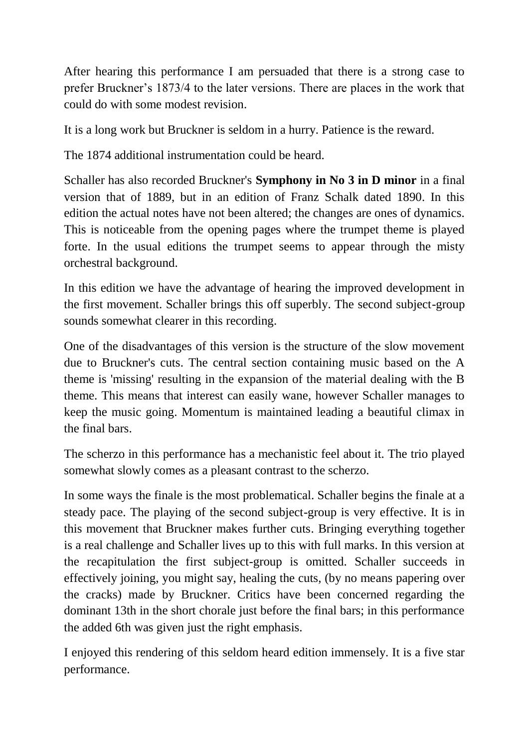After hearing this performance I am persuaded that there is a strong case to prefer Bruckner's 1873/4 to the later versions. There are places in the work that could do with some modest revision.

It is a long work but Bruckner is seldom in a hurry. Patience is the reward.

The 1874 additional instrumentation could be heard.

Schaller has also recorded Bruckner's **Symphony in No 3 in D minor** in a final version that of 1889, but in an edition of Franz Schalk dated 1890. In this edition the actual notes have not been altered; the changes are ones of dynamics. This is noticeable from the opening pages where the trumpet theme is played forte. In the usual editions the trumpet seems to appear through the misty orchestral background.

In this edition we have the advantage of hearing the improved development in the first movement. Schaller brings this off superbly. The second subject-group sounds somewhat clearer in this recording.

One of the disadvantages of this version is the structure of the slow movement due to Bruckner's cuts. The central section containing music based on the A theme is 'missing' resulting in the expansion of the material dealing with the B theme. This means that interest can easily wane, however Schaller manages to keep the music going. Momentum is maintained leading a beautiful climax in the final bars.

The scherzo in this performance has a mechanistic feel about it. The trio played somewhat slowly comes as a pleasant contrast to the scherzo.

In some ways the finale is the most problematical. Schaller begins the finale at a steady pace. The playing of the second subject-group is very effective. It is in this movement that Bruckner makes further cuts. Bringing everything together is a real challenge and Schaller lives up to this with full marks. In this version at the recapitulation the first subject-group is omitted. Schaller succeeds in effectively joining, you might say, healing the cuts, (by no means papering over the cracks) made by Bruckner. Critics have been concerned regarding the dominant 13th in the short chorale just before the final bars; in this performance the added 6th was given just the right emphasis.

I enjoyed this rendering of this seldom heard edition immensely. It is a five star performance.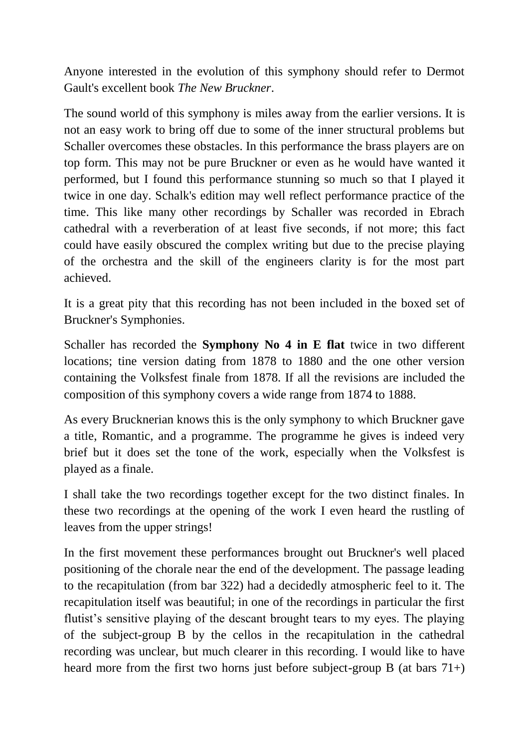Anyone interested in the evolution of this symphony should refer to Dermot Gault's excellent book *The New Bruckner*.

The sound world of this symphony is miles away from the earlier versions. It is not an easy work to bring off due to some of the inner structural problems but Schaller overcomes these obstacles. In this performance the brass players are on top form. This may not be pure Bruckner or even as he would have wanted it performed, but I found this performance stunning so much so that I played it twice in one day. Schalk's edition may well reflect performance practice of the time. This like many other recordings by Schaller was recorded in Ebrach cathedral with a reverberation of at least five seconds, if not more; this fact could have easily obscured the complex writing but due to the precise playing of the orchestra and the skill of the engineers clarity is for the most part achieved.

It is a great pity that this recording has not been included in the boxed set of Bruckner's Symphonies.

Schaller has recorded the **Symphony No 4 in E flat** twice in two different locations; tine version dating from 1878 to 1880 and the one other version containing the Volksfest finale from 1878. If all the revisions are included the composition of this symphony covers a wide range from 1874 to 1888.

As every Brucknerian knows this is the only symphony to which Bruckner gave a title, Romantic, and a programme. The programme he gives is indeed very brief but it does set the tone of the work, especially when the Volksfest is played as a finale.

I shall take the two recordings together except for the two distinct finales. In these two recordings at the opening of the work I even heard the rustling of leaves from the upper strings!

In the first movement these performances brought out Bruckner's well placed positioning of the chorale near the end of the development. The passage leading to the recapitulation (from bar 322) had a decidedly atmospheric feel to it. The recapitulation itself was beautiful; in one of the recordings in particular the first flutist's sensitive playing of the descant brought tears to my eyes. The playing of the subject-group B by the cellos in the recapitulation in the cathedral recording was unclear, but much clearer in this recording. I would like to have heard more from the first two horns just before subject-group B (at bars 71+)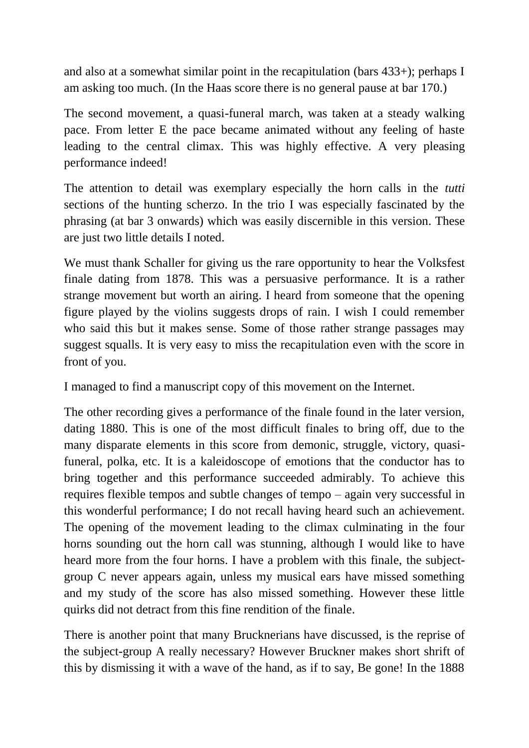and also at a somewhat similar point in the recapitulation (bars 433+); perhaps I am asking too much. (In the Haas score there is no general pause at bar 170.)

The second movement, a quasi-funeral march, was taken at a steady walking pace. From letter E the pace became animated without any feeling of haste leading to the central climax. This was highly effective. A very pleasing performance indeed!

The attention to detail was exemplary especially the horn calls in the *tutti* sections of the hunting scherzo. In the trio I was especially fascinated by the phrasing (at bar 3 onwards) which was easily discernible in this version. These are just two little details I noted.

We must thank Schaller for giving us the rare opportunity to hear the Volksfest finale dating from 1878. This was a persuasive performance. It is a rather strange movement but worth an airing. I heard from someone that the opening figure played by the violins suggests drops of rain. I wish I could remember who said this but it makes sense. Some of those rather strange passages may suggest squalls. It is very easy to miss the recapitulation even with the score in front of you.

I managed to find a manuscript copy of this movement on the Internet.

The other recording gives a performance of the finale found in the later version, dating 1880. This is one of the most difficult finales to bring off, due to the many disparate elements in this score from demonic, struggle, victory, quasifuneral, polka, etc. It is a kaleidoscope of emotions that the conductor has to bring together and this performance succeeded admirably. To achieve this requires flexible tempos and subtle changes of tempo – again very successful in this wonderful performance; I do not recall having heard such an achievement. The opening of the movement leading to the climax culminating in the four horns sounding out the horn call was stunning, although I would like to have heard more from the four horns. I have a problem with this finale, the subjectgroup C never appears again, unless my musical ears have missed something and my study of the score has also missed something. However these little quirks did not detract from this fine rendition of the finale.

There is another point that many Brucknerians have discussed, is the reprise of the subject-group A really necessary? However Bruckner makes short shrift of this by dismissing it with a wave of the hand, as if to say, Be gone! In the 1888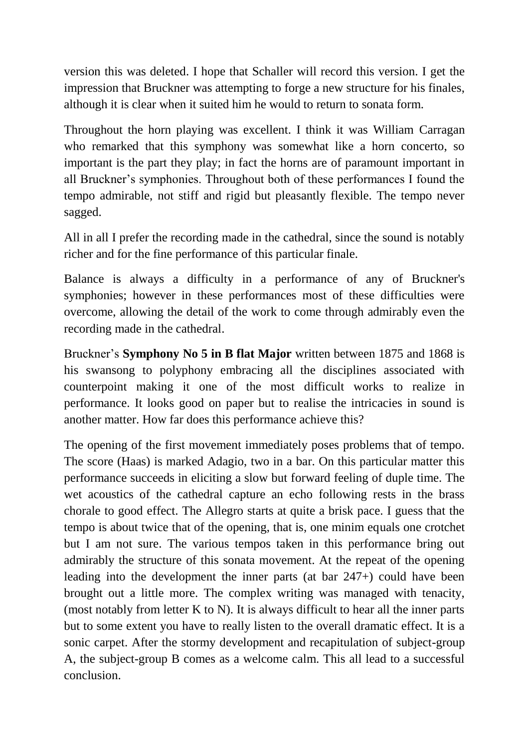version this was deleted. I hope that Schaller will record this version. I get the impression that Bruckner was attempting to forge a new structure for his finales, although it is clear when it suited him he would to return to sonata form.

Throughout the horn playing was excellent. I think it was William Carragan who remarked that this symphony was somewhat like a horn concerto, so important is the part they play; in fact the horns are of paramount important in all Bruckner's symphonies. Throughout both of these performances I found the tempo admirable, not stiff and rigid but pleasantly flexible. The tempo never sagged.

All in all I prefer the recording made in the cathedral, since the sound is notably richer and for the fine performance of this particular finale.

Balance is always a difficulty in a performance of any of Bruckner's symphonies; however in these performances most of these difficulties were overcome, allowing the detail of the work to come through admirably even the recording made in the cathedral.

Bruckner's **Symphony No 5 in B flat Major** written between 1875 and 1868 is his swansong to polyphony embracing all the disciplines associated with counterpoint making it one of the most difficult works to realize in performance. It looks good on paper but to realise the intricacies in sound is another matter. How far does this performance achieve this?

The opening of the first movement immediately poses problems that of tempo. The score (Haas) is marked Adagio, two in a bar. On this particular matter this performance succeeds in eliciting a slow but forward feeling of duple time. The wet acoustics of the cathedral capture an echo following rests in the brass chorale to good effect. The Allegro starts at quite a brisk pace. I guess that the tempo is about twice that of the opening, that is, one minim equals one crotchet but I am not sure. The various tempos taken in this performance bring out admirably the structure of this sonata movement. At the repeat of the opening leading into the development the inner parts (at bar 247+) could have been brought out a little more. The complex writing was managed with tenacity, (most notably from letter K to N). It is always difficult to hear all the inner parts but to some extent you have to really listen to the overall dramatic effect. It is a sonic carpet. After the stormy development and recapitulation of subject-group A, the subject-group B comes as a welcome calm. This all lead to a successful conclusion.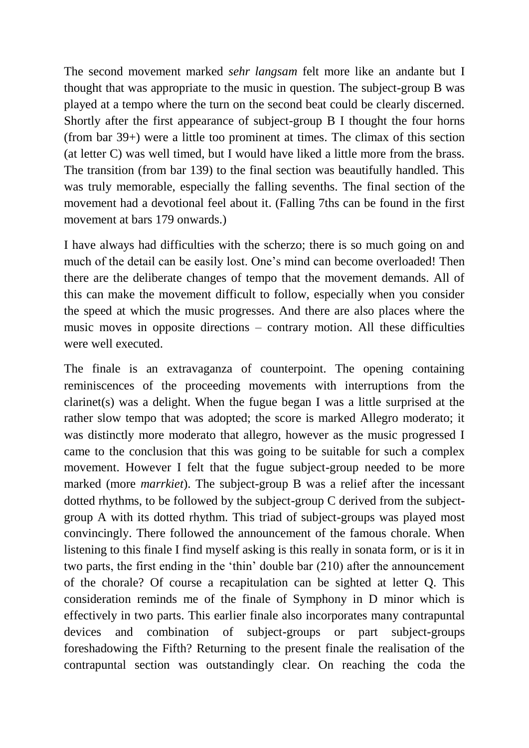The second movement marked *sehr langsam* felt more like an andante but I thought that was appropriate to the music in question. The subject-group B was played at a tempo where the turn on the second beat could be clearly discerned. Shortly after the first appearance of subject-group B I thought the four horns (from bar 39+) were a little too prominent at times. The climax of this section (at letter C) was well timed, but I would have liked a little more from the brass. The transition (from bar 139) to the final section was beautifully handled. This was truly memorable, especially the falling sevenths. The final section of the movement had a devotional feel about it. (Falling 7ths can be found in the first movement at bars 179 onwards.)

I have always had difficulties with the scherzo; there is so much going on and much of the detail can be easily lost. One's mind can become overloaded! Then there are the deliberate changes of tempo that the movement demands. All of this can make the movement difficult to follow, especially when you consider the speed at which the music progresses. And there are also places where the music moves in opposite directions – contrary motion. All these difficulties were well executed.

The finale is an extravaganza of counterpoint. The opening containing reminiscences of the proceeding movements with interruptions from the clarinet(s) was a delight. When the fugue began I was a little surprised at the rather slow tempo that was adopted; the score is marked Allegro moderato; it was distinctly more moderato that allegro, however as the music progressed I came to the conclusion that this was going to be suitable for such a complex movement. However I felt that the fugue subject-group needed to be more marked (more *marrkiet*). The subject-group B was a relief after the incessant dotted rhythms, to be followed by the subject-group C derived from the subjectgroup A with its dotted rhythm. This triad of subject-groups was played most convincingly. There followed the announcement of the famous chorale. When listening to this finale I find myself asking is this really in sonata form, or is it in two parts, the first ending in the 'thin' double bar (210) after the announcement of the chorale? Of course a recapitulation can be sighted at letter Q. This consideration reminds me of the finale of Symphony in D minor which is effectively in two parts. This earlier finale also incorporates many contrapuntal devices and combination of subject-groups or part subject-groups foreshadowing the Fifth? Returning to the present finale the realisation of the contrapuntal section was outstandingly clear. On reaching the coda the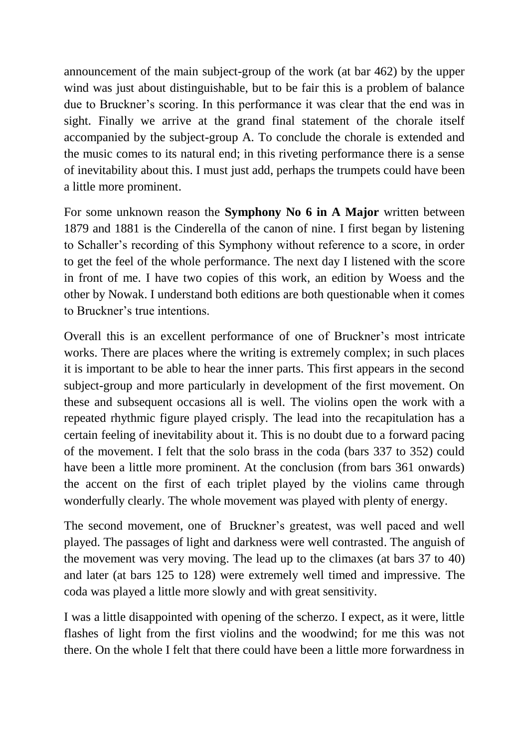announcement of the main subject-group of the work (at bar 462) by the upper wind was just about distinguishable, but to be fair this is a problem of balance due to Bruckner's scoring. In this performance it was clear that the end was in sight. Finally we arrive at the grand final statement of the chorale itself accompanied by the subject-group A. To conclude the chorale is extended and the music comes to its natural end; in this riveting performance there is a sense of inevitability about this. I must just add, perhaps the trumpets could have been a little more prominent.

For some unknown reason the **Symphony No 6 in A Major** written between 1879 and 1881 is the Cinderella of the canon of nine. I first began by listening to Schaller's recording of this Symphony without reference to a score, in order to get the feel of the whole performance. The next day I listened with the score in front of me. I have two copies of this work, an edition by Woess and the other by Nowak. I understand both editions are both questionable when it comes to Bruckner's true intentions.

Overall this is an excellent performance of one of Bruckner's most intricate works. There are places where the writing is extremely complex; in such places it is important to be able to hear the inner parts. This first appears in the second subject-group and more particularly in development of the first movement. On these and subsequent occasions all is well. The violins open the work with a repeated rhythmic figure played crisply. The lead into the recapitulation has a certain feeling of inevitability about it. This is no doubt due to a forward pacing of the movement. I felt that the solo brass in the coda (bars 337 to 352) could have been a little more prominent. At the conclusion (from bars 361 onwards) the accent on the first of each triplet played by the violins came through wonderfully clearly. The whole movement was played with plenty of energy.

The second movement, one of Bruckner's greatest, was well paced and well played. The passages of light and darkness were well contrasted. The anguish of the movement was very moving. The lead up to the climaxes (at bars 37 to 40) and later (at bars 125 to 128) were extremely well timed and impressive. The coda was played a little more slowly and with great sensitivity.

I was a little disappointed with opening of the scherzo. I expect, as it were, little flashes of light from the first violins and the woodwind; for me this was not there. On the whole I felt that there could have been a little more forwardness in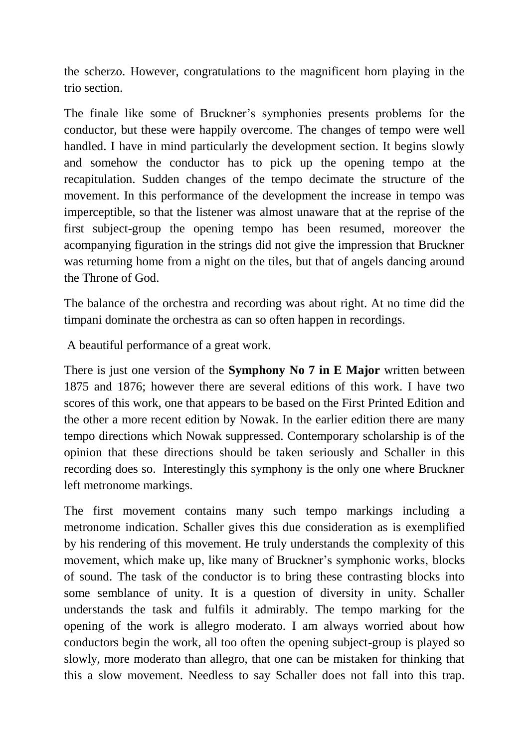the scherzo. However, congratulations to the magnificent horn playing in the trio section.

The finale like some of Bruckner's symphonies presents problems for the conductor, but these were happily overcome. The changes of tempo were well handled. I have in mind particularly the development section. It begins slowly and somehow the conductor has to pick up the opening tempo at the recapitulation. Sudden changes of the tempo decimate the structure of the movement. In this performance of the development the increase in tempo was imperceptible, so that the listener was almost unaware that at the reprise of the first subject-group the opening tempo has been resumed, moreover the acompanying figuration in the strings did not give the impression that Bruckner was returning home from a night on the tiles, but that of angels dancing around the Throne of God.

The balance of the orchestra and recording was about right. At no time did the timpani dominate the orchestra as can so often happen in recordings.

A beautiful performance of a great work.

There is just one version of the **Symphony No 7 in E Major** written between 1875 and 1876; however there are several editions of this work. I have two scores of this work, one that appears to be based on the First Printed Edition and the other a more recent edition by Nowak. In the earlier edition there are many tempo directions which Nowak suppressed. Contemporary scholarship is of the opinion that these directions should be taken seriously and Schaller in this recording does so. Interestingly this symphony is the only one where Bruckner left metronome markings.

The first movement contains many such tempo markings including a metronome indication. Schaller gives this due consideration as is exemplified by his rendering of this movement. He truly understands the complexity of this movement, which make up, like many of Bruckner's symphonic works, blocks of sound. The task of the conductor is to bring these contrasting blocks into some semblance of unity. It is a question of diversity in unity. Schaller understands the task and fulfils it admirably. The tempo marking for the opening of the work is allegro moderato. I am always worried about how conductors begin the work, all too often the opening subject-group is played so slowly, more moderato than allegro, that one can be mistaken for thinking that this a slow movement. Needless to say Schaller does not fall into this trap.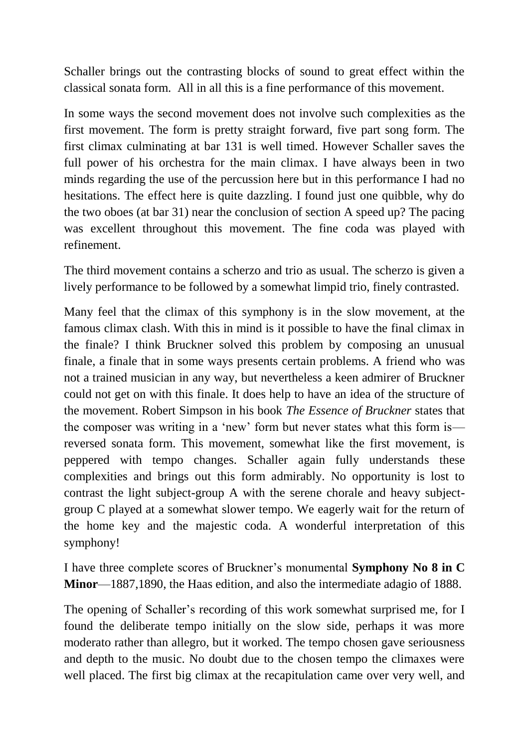Schaller brings out the contrasting blocks of sound to great effect within the classical sonata form. All in all this is a fine performance of this movement.

In some ways the second movement does not involve such complexities as the first movement. The form is pretty straight forward, five part song form. The first climax culminating at bar 131 is well timed. However Schaller saves the full power of his orchestra for the main climax. I have always been in two minds regarding the use of the percussion here but in this performance I had no hesitations. The effect here is quite dazzling. I found just one quibble, why do the two oboes (at bar 31) near the conclusion of section A speed up? The pacing was excellent throughout this movement. The fine coda was played with refinement.

The third movement contains a scherzo and trio as usual. The scherzo is given a lively performance to be followed by a somewhat limpid trio, finely contrasted.

Many feel that the climax of this symphony is in the slow movement, at the famous climax clash. With this in mind is it possible to have the final climax in the finale? I think Bruckner solved this problem by composing an unusual finale, a finale that in some ways presents certain problems. A friend who was not a trained musician in any way, but nevertheless a keen admirer of Bruckner could not get on with this finale. It does help to have an idea of the structure of the movement. Robert Simpson in his book *The Essence of Bruckner* states that the composer was writing in a 'new' form but never states what this form is reversed sonata form. This movement, somewhat like the first movement, is peppered with tempo changes. Schaller again fully understands these complexities and brings out this form admirably. No opportunity is lost to contrast the light subject-group A with the serene chorale and heavy subjectgroup C played at a somewhat slower tempo. We eagerly wait for the return of the home key and the majestic coda. A wonderful interpretation of this symphony!

I have three complete scores of Bruckner's monumental **Symphony No 8 in C Minor**—1887,1890, the Haas edition, and also the intermediate adagio of 1888.

The opening of Schaller's recording of this work somewhat surprised me, for I found the deliberate tempo initially on the slow side, perhaps it was more moderato rather than allegro, but it worked. The tempo chosen gave seriousness and depth to the music. No doubt due to the chosen tempo the climaxes were well placed. The first big climax at the recapitulation came over very well, and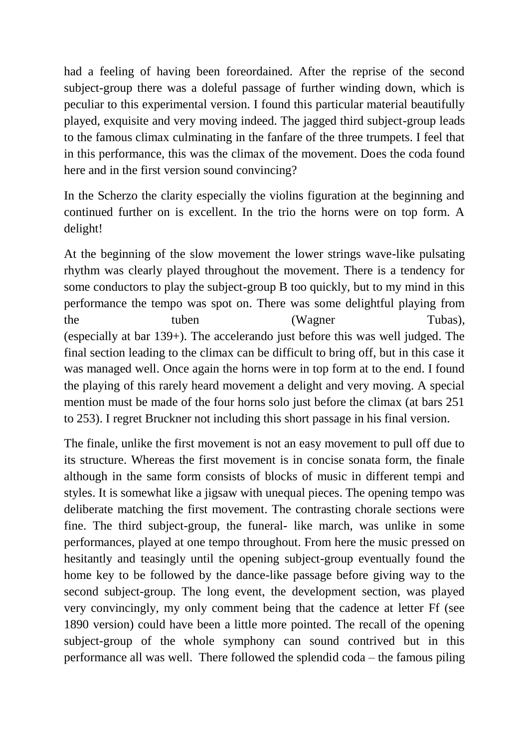had a feeling of having been foreordained. After the reprise of the second subject-group there was a doleful passage of further winding down, which is peculiar to this experimental version. I found this particular material beautifully played, exquisite and very moving indeed. The jagged third subject-group leads to the famous climax culminating in the fanfare of the three trumpets. I feel that in this performance, this was the climax of the movement. Does the coda found here and in the first version sound convincing?

In the Scherzo the clarity especially the violins figuration at the beginning and continued further on is excellent. In the trio the horns were on top form. A delight!

At the beginning of the slow movement the lower strings wave-like pulsating rhythm was clearly played throughout the movement. There is a tendency for some conductors to play the subject-group B too quickly, but to my mind in this performance the tempo was spot on. There was some delightful playing from the tuben (Wagner Tubas), (especially at bar 139+). The accelerando just before this was well judged. The final section leading to the climax can be difficult to bring off, but in this case it was managed well. Once again the horns were in top form at to the end. I found the playing of this rarely heard movement a delight and very moving. A special mention must be made of the four horns solo just before the climax (at bars 251 to 253). I regret Bruckner not including this short passage in his final version.

The finale, unlike the first movement is not an easy movement to pull off due to its structure. Whereas the first movement is in concise sonata form, the finale although in the same form consists of blocks of music in different tempi and styles. It is somewhat like a jigsaw with unequal pieces. The opening tempo was deliberate matching the first movement. The contrasting chorale sections were fine. The third subject-group, the funeral- like march, was unlike in some performances, played at one tempo throughout. From here the music pressed on hesitantly and teasingly until the opening subject-group eventually found the home key to be followed by the dance-like passage before giving way to the second subject-group. The long event, the development section, was played very convincingly, my only comment being that the cadence at letter Ff (see 1890 version) could have been a little more pointed. The recall of the opening subject-group of the whole symphony can sound contrived but in this performance all was well. There followed the splendid coda – the famous piling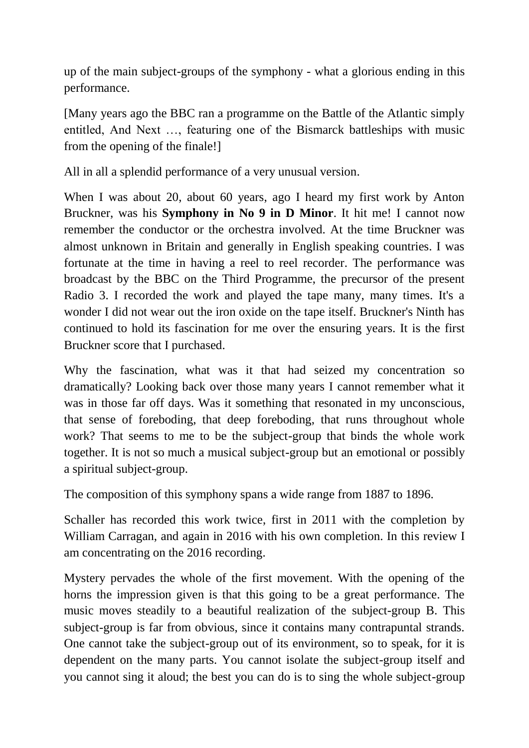up of the main subject-groups of the symphony - what a glorious ending in this performance.

[Many years ago the BBC ran a programme on the Battle of the Atlantic simply entitled, And Next …, featuring one of the Bismarck battleships with music from the opening of the finale!]

All in all a splendid performance of a very unusual version.

When I was about 20, about 60 years, ago I heard my first work by Anton Bruckner, was his **Symphony in No 9 in D Minor**. It hit me! I cannot now remember the conductor or the orchestra involved. At the time Bruckner was almost unknown in Britain and generally in English speaking countries. I was fortunate at the time in having a reel to reel recorder. The performance was broadcast by the BBC on the Third Programme, the precursor of the present Radio 3. I recorded the work and played the tape many, many times. It's a wonder I did not wear out the iron oxide on the tape itself. Bruckner's Ninth has continued to hold its fascination for me over the ensuring years. It is the first Bruckner score that I purchased.

Why the fascination, what was it that had seized my concentration so dramatically? Looking back over those many years I cannot remember what it was in those far off days. Was it something that resonated in my unconscious, that sense of foreboding, that deep foreboding, that runs throughout whole work? That seems to me to be the subject-group that binds the whole work together. It is not so much a musical subject-group but an emotional or possibly a spiritual subject-group.

The composition of this symphony spans a wide range from 1887 to 1896.

Schaller has recorded this work twice, first in 2011 with the completion by William Carragan, and again in 2016 with his own completion. In this review I am concentrating on the 2016 recording.

Mystery pervades the whole of the first movement. With the opening of the horns the impression given is that this going to be a great performance. The music moves steadily to a beautiful realization of the subject-group B. This subject-group is far from obvious, since it contains many contrapuntal strands. One cannot take the subject-group out of its environment, so to speak, for it is dependent on the many parts. You cannot isolate the subject-group itself and you cannot sing it aloud; the best you can do is to sing the whole subject-group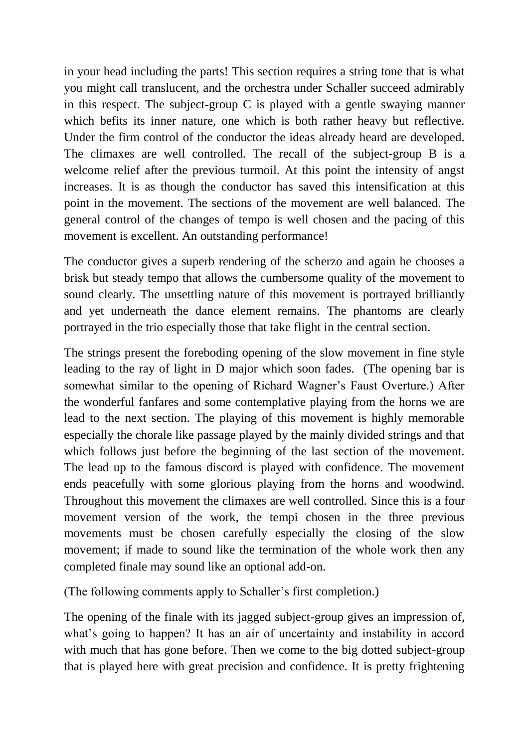in your head including the parts! This section requires a string tone that is what you might call translucent, and the orchestra under Schaller succeed admirably in this respect. The subject-group  $C$  is played with a gentle swaying manner which befits its inner nature, one which is both rather heavy but reflective. Under the firm control of the conductor the ideas already heard are developed. The climaxes are well controlled. The recall of the subject-group B is a welcome relief after the previous turmoil. At this point the intensity of angst increases. It is as though the conductor has saved this intensification at this point in the movement. The sections of the movement are well balanced. The general control of the changes of tempo is well chosen and the pacing of this movement is excellent. An outstanding performance!

The conductor gives a superb rendering of the scherzo and again he chooses a brisk but steady tempo that allows the cumbersome quality of the movement to sound clearly. The unsettling nature of this movement is portrayed brilliantly and yet underneath the dance element remains. The phantoms are clearly portrayed in the trio especially those that take flight in the central section.

The strings present the foreboding opening of the slow movement in fine style leading to the ray of light in D major which soon fades. (The opening bar is somewhat similar to the opening of Richard Wagner's Faust Overture.) After the wonderful fanfares and some contemplative playing from the horns we are lead to the next section. The playing of this movement is highly memorable especially the chorale like passage played by the mainly divided strings and that which follows just before the beginning of the last section of the movement. The lead up to the famous discord is played with confidence. The movement ends peacefully with some glorious playing from the horns and woodwind. Throughout this movement the climaxes are well controlled. Since this is a four movement version of the work, the tempi chosen in the three previous movements must be chosen carefully especially the closing of the slow movement; if made to sound like the termination of the whole work then any completed finale may sound like an optional add-on.

(The following comments apply to Schaller's first completion.)

The opening of the finale with its jagged subject-group gives an impression of, what's going to happen? It has an air of uncertainty and instability in accord with much that has gone before. Then we come to the big dotted subject-group that is played here with great precision and confidence. It is pretty frightening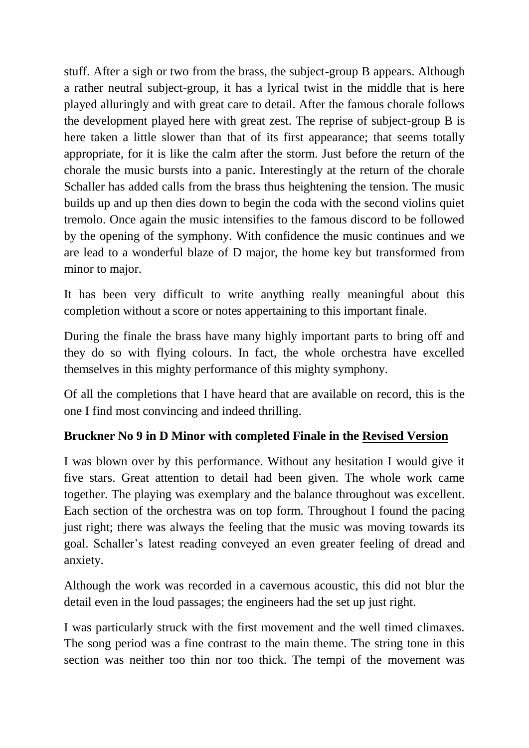stuff. After a sigh or two from the brass, the subject-group B appears. Although a rather neutral subject-group, it has a lyrical twist in the middle that is here played alluringly and with great care to detail. After the famous chorale follows the development played here with great zest. The reprise of subject-group B is here taken a little slower than that of its first appearance; that seems totally appropriate, for it is like the calm after the storm. Just before the return of the chorale the music bursts into a panic. Interestingly at the return of the chorale Schaller has added calls from the brass thus heightening the tension. The music builds up and up then dies down to begin the coda with the second violins quiet tremolo. Once again the music intensifies to the famous discord to be followed by the opening of the symphony. With confidence the music continues and we are lead to a wonderful blaze of D major, the home key but transformed from minor to major.

It has been very difficult to write anything really meaningful about this completion without a score or notes appertaining to this important finale.

During the finale the brass have many highly important parts to bring off and they do so with flying colours. In fact, the whole orchestra have excelled themselves in this mighty performance of this mighty symphony.

Of all the completions that I have heard that are available on record, this is the one I find most convincing and indeed thrilling.

## **Bruckner No 9 in D Minor with completed Finale in the Revised Version**

I was blown over by this performance. Without any hesitation I would give it five stars. Great attention to detail had been given. The whole work came together. The playing was exemplary and the balance throughout was excellent. Each section of the orchestra was on top form. Throughout I found the pacing just right; there was always the feeling that the music was moving towards its goal. Schaller's latest reading conveyed an even greater feeling of dread and anxiety.

Although the work was recorded in a cavernous acoustic, this did not blur the detail even in the loud passages; the engineers had the set up just right.

I was particularly struck with the first movement and the well timed climaxes. The song period was a fine contrast to the main theme. The string tone in this section was neither too thin nor too thick. The tempi of the movement was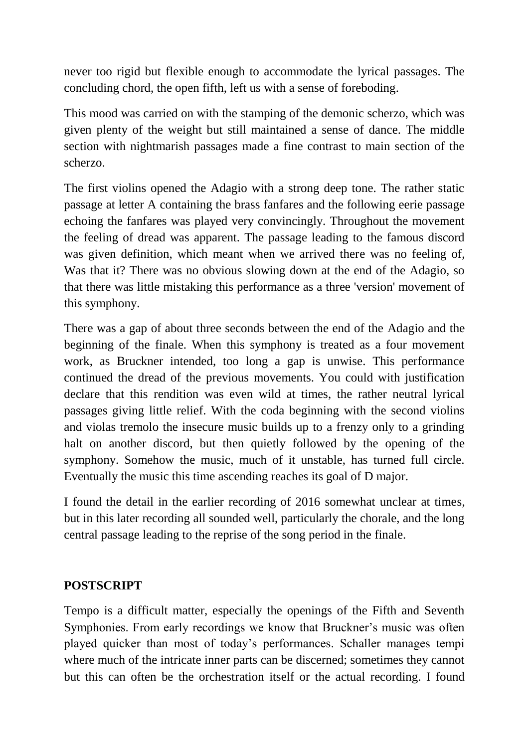never too rigid but flexible enough to accommodate the lyrical passages. The concluding chord, the open fifth, left us with a sense of foreboding.

This mood was carried on with the stamping of the demonic scherzo, which was given plenty of the weight but still maintained a sense of dance. The middle section with nightmarish passages made a fine contrast to main section of the scherzo.

The first violins opened the Adagio with a strong deep tone. The rather static passage at letter A containing the brass fanfares and the following eerie passage echoing the fanfares was played very convincingly. Throughout the movement the feeling of dread was apparent. The passage leading to the famous discord was given definition, which meant when we arrived there was no feeling of, Was that it? There was no obvious slowing down at the end of the Adagio, so that there was little mistaking this performance as a three 'version' movement of this symphony.

There was a gap of about three seconds between the end of the Adagio and the beginning of the finale. When this symphony is treated as a four movement work, as Bruckner intended, too long a gap is unwise. This performance continued the dread of the previous movements. You could with justification declare that this rendition was even wild at times, the rather neutral lyrical passages giving little relief. With the coda beginning with the second violins and violas tremolo the insecure music builds up to a frenzy only to a grinding halt on another discord, but then quietly followed by the opening of the symphony. Somehow the music, much of it unstable, has turned full circle. Eventually the music this time ascending reaches its goal of D major.

I found the detail in the earlier recording of 2016 somewhat unclear at times, but in this later recording all sounded well, particularly the chorale, and the long central passage leading to the reprise of the song period in the finale.

## **POSTSCRIPT**

Tempo is a difficult matter, especially the openings of the Fifth and Seventh Symphonies. From early recordings we know that Bruckner's music was often played quicker than most of today's performances. Schaller manages tempi where much of the intricate inner parts can be discerned; sometimes they cannot but this can often be the orchestration itself or the actual recording. I found